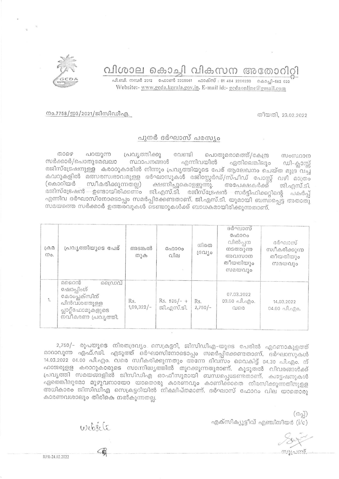## വിശാല കൊച്ചി വികസന അതോറിറ്റി

Website:- www.gcda.kerala.gov.in. E-mail id:- gcdaonline@gmail.com



നം.7758/ഇ3/2021/ജിസിഡിഎ.

## തീയതി, 23.02.2022

## പുനർ ദർഘാസ് പരസ്യം

താഴെ പറയുന്ന പ്രവൃത്തിക്കു വേണ്ടി പൊതുമരാമത്ത്/കേന്ദ്ര സംസ്ഥാന സർക്കാർ/പൊതുമേഖലാ സ്ഥാപനങ്ങൾ എന്നിവയിൽ ഏതിലെങ്കിലും ഡി-ക്ലാസ്സ് രജിസ്ട്രേഷനുള്ള കരാറുകാരിൽ നിന്നും പ്രവൃത്തിയുടെ പേര് ആലേഖനം ചെയ്ത മുദ്ര വച്ച കവറുകളിൽ മത്സരസ്വഭാവമുളള ദർഘാസുകൾ രജിസ്റ്റേർഡ്/സ്പീഡ് പോസ്റ്റ് വഴി മാത്രം (കൊറിയർ സ്വീകരിക്കുന്നതല്ല) ക്ഷണിച്ചുകൊളളുന്നു. അപേക്ഷകർക്ക് ജി.എസ്.ടി. രജിസ്ട്രേഷൻ – ഉണ്ടായിരിക്കണം ജി.എസ്.ടി. രജിസ്ട്രേഷൻ സർട്ടിഫിക്കറ്റിന്റെ പകർപ്പ് എന്നിവ ദർഘാസിനോടൊപ്പം സമർപ്പിക്കേണ്ടതാണ്. ജി.എസ്.ടി. യുമായി ബന്ധപ്പെട്ട അതാതു സമയത്തെ സർക്കാർ ഉത്തരവുകൾ ടെണ്ടറുകൾക്ക് ബാധകമായിരിക്കുന്നതാണ്.

| $(A \oplus B)$<br>mo. | പ്രവൃത്തിയുടെ പേര്                                                                                   | അടങ്കൽ<br>തുക       | G00000<br>വില               | നിരത<br>rechto   | ദർഘാസ്<br>GADOOO<br>വിൽപ്പന<br>നടത്തുന്ന<br>അവസാന<br>തീയതിയും<br>സമയവും | ദർഘാസ്<br>സ്വീകരിക്കുന്ന<br>തീയതിയും<br>സമയവും |
|-----------------------|------------------------------------------------------------------------------------------------------|---------------------|-----------------------------|------------------|-------------------------------------------------------------------------|------------------------------------------------|
| 1.                    | മഹൈൻ<br>ഡൈവ്<br>ഷോപ്പിംഗ്<br>കോംപ്ലക്സിന്<br>പിൻവശത്തുള്ള<br>പ്സാറ്റ്ഫോമുകളുടെ<br>നവീകരണ പ്രവ്യത്തി. | Rs.<br>$1,09,322/-$ | $Rs. 525/- +$<br>ജി.എസ്.ടി. | Rs.<br>$2,750/-$ | 07.03.2022<br>$03.00$ all.ago.<br>QJ50                                  | 14.03.2022<br>$04.00 \text{ Al.}$              |

2,750/- രൂപയുടെ നിരതദ്രവ്യം സെക്രട്ടറി, ജിസിഡിഎ-യുടെ പേരിൽ എറണാകുളത്ത് മാറാവുന്ന എഫ്.ഡി. എടുത്ത് ദർഘാസിനോടൊപ്പം സമർപ്പിക്കേണ്ടതാണ്. ദർഘാസുകൾ  $14.03.2022$  04.00 പി.എം. വരെ സ്വീകരിക്കുന്നതും അന്നേ ദിവസം വൈകിട്ട് 04.30 പി.എം. ന് ഹാജരുളള കരാറുകാരുടെ സാന്നിദ്ധ്യത്തിൽ തുറക്കുന്നതുമാണ്. കൂടുതൽ വിവരങ്ങൾക്ക് പ്രവൃത്തി സമയങ്ങളിൽ ജിസിഡിഎ ഓഫീസുമായി ബന്ധപ്പെടേണ്ടതാണ്. ക്വട്ടേഷനുകൾ ഏതെങ്കിലുമോ മുഴുവനായോ യാതൊരു കാരണവും കാണിക്കാതെ നിരസിക്കുന്നതിനുളള അധികാരം ജിസിഡിഎ സെക്രട്ടറിയിൽ നിക്ഷിപ്തമാണ്. ദർഘാസ് ഫോറം വില യാതൊരു കാരണവശാലും തിരികെ നൽകുന്നതല്ല.

> $(632)$ എക്സിക്യൂട്ടീവ് എഞ്ചിനീയർ  $(i/c)$

website